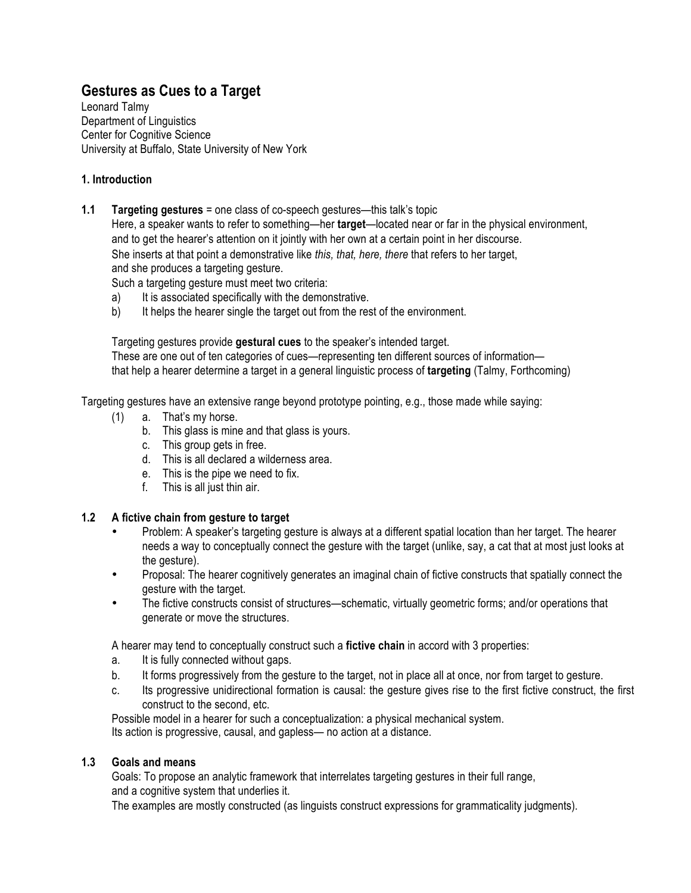# **Gestures as Cues to a Target**

Leonard Talmy Department of Linguistics Center for Cognitive Science University at Buffalo, State University of New York

# **1. Introduction**

**1.1 Targeting gestures** = one class of co-speech gestures—this talk's topic

Here, a speaker wants to refer to something—her **target**—located near or far in the physical environment, and to get the hearer's attention on it jointly with her own at a certain point in her discourse. She inserts at that point a demonstrative like *this, that, here, there* that refers to her target, and she produces a targeting gesture.

Such a targeting gesture must meet two criteria:

- a) It is associated specifically with the demonstrative.
- b) It helps the hearer single the target out from the rest of the environment.

Targeting gestures provide **gestural cues** to the speaker's intended target. These are one out of ten categories of cues—representing ten different sources of information that help a hearer determine a target in a general linguistic process of **targeting** (Talmy, Forthcoming)

Targeting gestures have an extensive range beyond prototype pointing, e.g., those made while saying:

- (1) a. That's my horse.
	- b. This glass is mine and that glass is yours.
	- c. This group gets in free.
	- d. This is all declared a wilderness area.
	- e. This is the pipe we need to fix.
	- f. This is all just thin air.

### **1.2 A fictive chain from gesture to target**

- Problem: A speaker's targeting gesture is always at a different spatial location than her target. The hearer needs a way to conceptually connect the gesture with the target (unlike, say, a cat that at most just looks at the gesture).
- Proposal: The hearer cognitively generates an imaginal chain of fictive constructs that spatially connect the gesture with the target.
- The fictive constructs consist of structures—schematic, virtually geometric forms; and/or operations that generate or move the structures.

A hearer may tend to conceptually construct such a **fictive chain** in accord with 3 properties:

- a. It is fully connected without gaps.
- b. It forms progressively from the gesture to the target, not in place all at once, nor from target to gesture.
- c. Its progressive unidirectional formation is causal: the gesture gives rise to the first fictive construct, the first construct to the second, etc.

Possible model in a hearer for such a conceptualization: a physical mechanical system. Its action is progressive, causal, and gapless— no action at a distance.

### **1.3 Goals and means**

Goals: To propose an analytic framework that interrelates targeting gestures in their full range, and a cognitive system that underlies it.

The examples are mostly constructed (as linguists construct expressions for grammaticality judgments).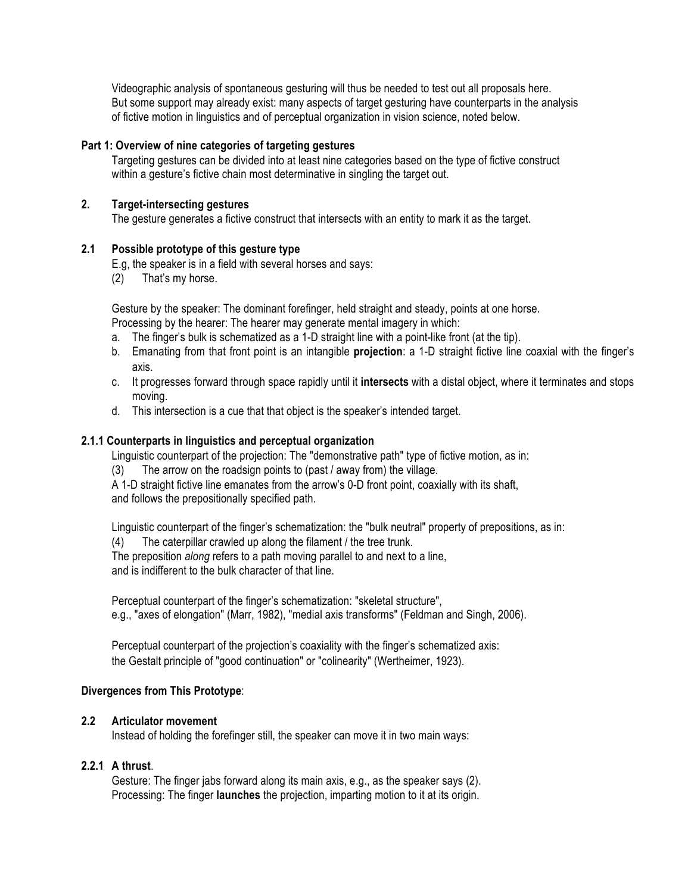Videographic analysis of spontaneous gesturing will thus be needed to test out all proposals here. But some support may already exist: many aspects of target gesturing have counterparts in the analysis of fictive motion in linguistics and of perceptual organization in vision science, noted below.

#### **Part 1: Overview of nine categories of targeting gestures**

Targeting gestures can be divided into at least nine categories based on the type of fictive construct within a gesture's fictive chain most determinative in singling the target out.

### **2. Target-intersecting gestures**

The gesture generates a fictive construct that intersects with an entity to mark it as the target.

#### **2.1 Possible prototype of this gesture type**

E.g, the speaker is in a field with several horses and says:

(2) That's my horse.

Gesture by the speaker: The dominant forefinger, held straight and steady, points at one horse. Processing by the hearer: The hearer may generate mental imagery in which:

- a. The finger's bulk is schematized as a 1-D straight line with a point-like front (at the tip).
- b. Emanating from that front point is an intangible **projection**: a 1-D straight fictive line coaxial with the finger's axis.
- c. It progresses forward through space rapidly until it **intersects** with a distal object, where it terminates and stops moving.
- d. This intersection is a cue that that object is the speaker's intended target.

### **2.1.1 Counterparts in linguistics and perceptual organization**

Linguistic counterpart of the projection: The "demonstrative path" type of fictive motion, as in:

(3) The arrow on the roadsign points to (past / away from) the village.

A 1-D straight fictive line emanates from the arrow's 0-D front point, coaxially with its shaft, and follows the prepositionally specified path.

Linguistic counterpart of the finger's schematization: the "bulk neutral" property of prepositions, as in:

(4) The caterpillar crawled up along the filament / the tree trunk.

The preposition *along* refers to a path moving parallel to and next to a line, and is indifferent to the bulk character of that line.

Perceptual counterpart of the finger's schematization: "skeletal structure", e.g., "axes of elongation" (Marr, 1982), "medial axis transforms" (Feldman and Singh, 2006).

Perceptual counterpart of the projection's coaxiality with the finger's schematized axis: the Gestalt principle of "good continuation" or "colinearity" (Wertheimer, 1923).

### **Divergences from This Prototype**:

### **2.2 Articulator movement**

Instead of holding the forefinger still, the speaker can move it in two main ways:

### **2.2.1 A thrust**.

Gesture: The finger jabs forward along its main axis, e.g., as the speaker says (2). Processing: The finger **launches** the projection, imparting motion to it at its origin.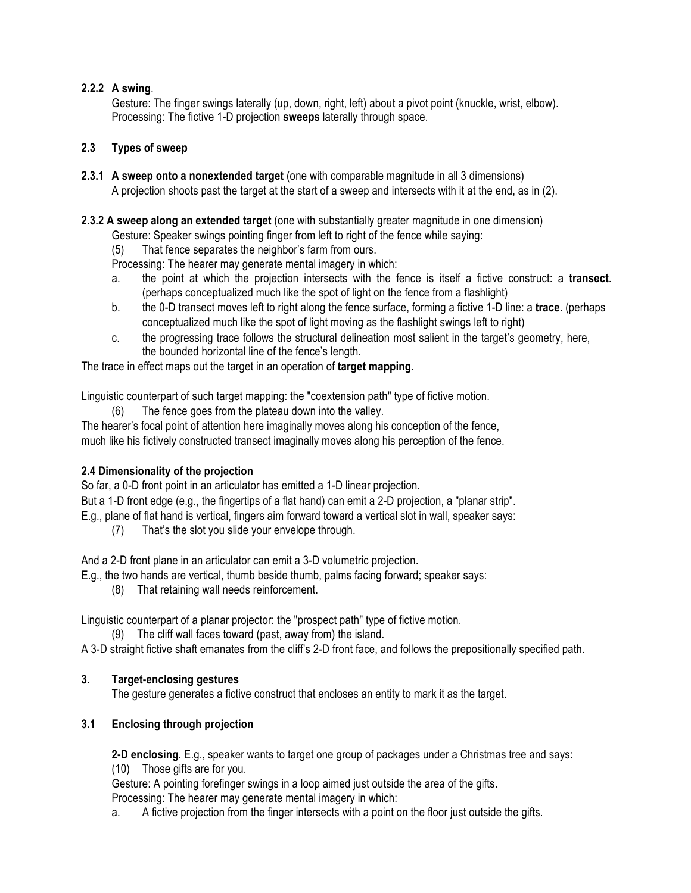# **2.2.2 A swing**.

Gesture: The finger swings laterally (up, down, right, left) about a pivot point (knuckle, wrist, elbow). Processing: The fictive 1-D projection **sweeps** laterally through space.

# **2.3 Types of sweep**

**2.3.1 A sweep onto a nonextended target** (one with comparable magnitude in all 3 dimensions) A projection shoots past the target at the start of a sweep and intersects with it at the end, as in (2).

**2.3.2 A sweep along an extended target** (one with substantially greater magnitude in one dimension)

Gesture: Speaker swings pointing finger from left to right of the fence while saying:

(5) That fence separates the neighbor's farm from ours.

Processing: The hearer may generate mental imagery in which:

- a. the point at which the projection intersects with the fence is itself a fictive construct: a **transect**. (perhaps conceptualized much like the spot of light on the fence from a flashlight)
- b. the 0-D transect moves left to right along the fence surface, forming a fictive 1-D line: a **trace**. (perhaps conceptualized much like the spot of light moving as the flashlight swings left to right)
- c. the progressing trace follows the structural delineation most salient in the target's geometry, here, the bounded horizontal line of the fence's length.

The trace in effect maps out the target in an operation of **target mapping**.

Linguistic counterpart of such target mapping: the "coextension path" type of fictive motion.

(6) The fence goes from the plateau down into the valley.

The hearer's focal point of attention here imaginally moves along his conception of the fence, much like his fictively constructed transect imaginally moves along his perception of the fence.

# **2.4 Dimensionality of the projection**

So far, a 0-D front point in an articulator has emitted a 1-D linear projection.

But a 1-D front edge (e.g., the fingertips of a flat hand) can emit a 2-D projection, a "planar strip".

- E.g., plane of flat hand is vertical, fingers aim forward toward a vertical slot in wall, speaker says:
	- (7) That's the slot you slide your envelope through.

And a 2-D front plane in an articulator can emit a 3-D volumetric projection.

- E.g., the two hands are vertical, thumb beside thumb, palms facing forward; speaker says:
	- (8) That retaining wall needs reinforcement.

Linguistic counterpart of a planar projector: the "prospect path" type of fictive motion.

(9) The cliff wall faces toward (past, away from) the island.

A 3-D straight fictive shaft emanates from the cliff's 2-D front face, and follows the prepositionally specified path.

# **3. Target-enclosing gestures**

The gesture generates a fictive construct that encloses an entity to mark it as the target.

# **3.1 Enclosing through projection**

**2-D enclosing**. E.g., speaker wants to target one group of packages under a Christmas tree and says:

(10) Those gifts are for you.

Gesture: A pointing forefinger swings in a loop aimed just outside the area of the gifts.

Processing: The hearer may generate mental imagery in which:

a. A fictive projection from the finger intersects with a point on the floor just outside the gifts.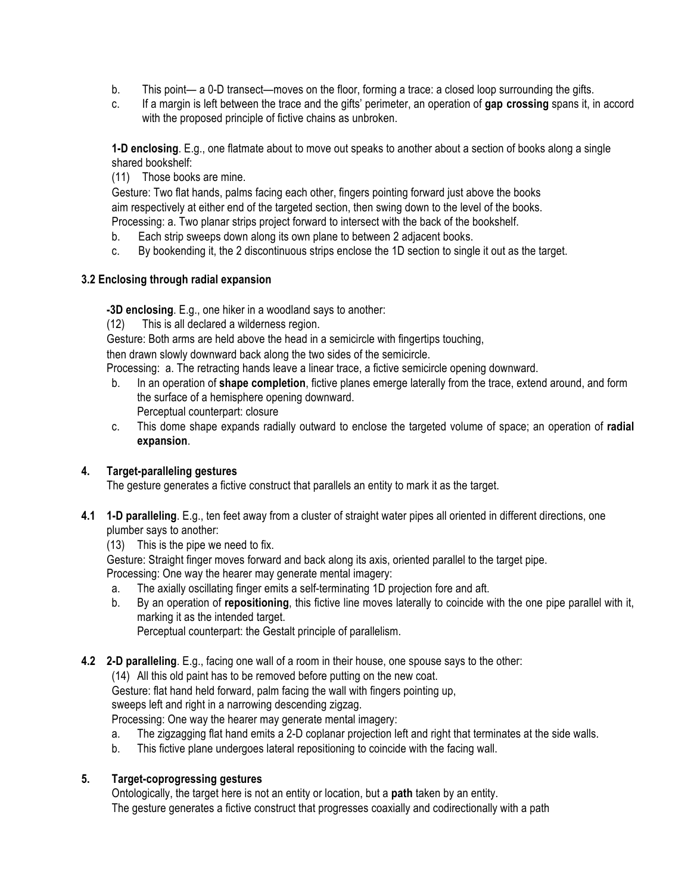- b. This point— a 0-D transect—moves on the floor, forming a trace: a closed loop surrounding the gifts.
- c. If a margin is left between the trace and the gifts' perimeter, an operation of **gap crossing** spans it, in accord with the proposed principle of fictive chains as unbroken.

**1-D enclosing**. E.g., one flatmate about to move out speaks to another about a section of books along a single shared bookshelf:

(11) Those books are mine.

Gesture: Two flat hands, palms facing each other, fingers pointing forward just above the books aim respectively at either end of the targeted section, then swing down to the level of the books. Processing: a. Two planar strips project forward to intersect with the back of the bookshelf.

b. Each strip sweeps down along its own plane to between 2 adjacent books.

c. By bookending it, the 2 discontinuous strips enclose the 1D section to single it out as the target.

# **3.2 Enclosing through radial expansion**

**-3D enclosing**. E.g., one hiker in a woodland says to another:

(12) This is all declared a wilderness region.

Gesture: Both arms are held above the head in a semicircle with fingertips touching,

then drawn slowly downward back along the two sides of the semicircle.

Processing: a. The retracting hands leave a linear trace, a fictive semicircle opening downward.

- b. In an operation of **shape completion**, fictive planes emerge laterally from the trace, extend around, and form the surface of a hemisphere opening downward. Perceptual counterpart: closure
- c. This dome shape expands radially outward to enclose the targeted volume of space; an operation of **radial expansion**.

# **4. Target-paralleling gestures**

The gesture generates a fictive construct that parallels an entity to mark it as the target.

- **4.1 1-D paralleling**. E.g., ten feet away from a cluster of straight water pipes all oriented in different directions, one plumber says to another:
	- (13) This is the pipe we need to fix.

Gesture: Straight finger moves forward and back along its axis, oriented parallel to the target pipe. Processing: One way the hearer may generate mental imagery:

- a. The axially oscillating finger emits a self-terminating 1D projection fore and aft.
- b. By an operation of **repositioning**, this fictive line moves laterally to coincide with the one pipe parallel with it, marking it as the intended target.

Perceptual counterpart: the Gestalt principle of parallelism.

**4.2 2-D paralleling**. E.g., facing one wall of a room in their house, one spouse says to the other:

(14) All this old paint has to be removed before putting on the new coat.

Gesture: flat hand held forward, palm facing the wall with fingers pointing up,

sweeps left and right in a narrowing descending zigzag.

Processing: One way the hearer may generate mental imagery:

- a. The zigzagging flat hand emits a 2-D coplanar projection left and right that terminates at the side walls.
- b. This fictive plane undergoes lateral repositioning to coincide with the facing wall.

# **5. Target-coprogressing gestures**

Ontologically, the target here is not an entity or location, but a **path** taken by an entity.

The gesture generates a fictive construct that progresses coaxially and codirectionally with a path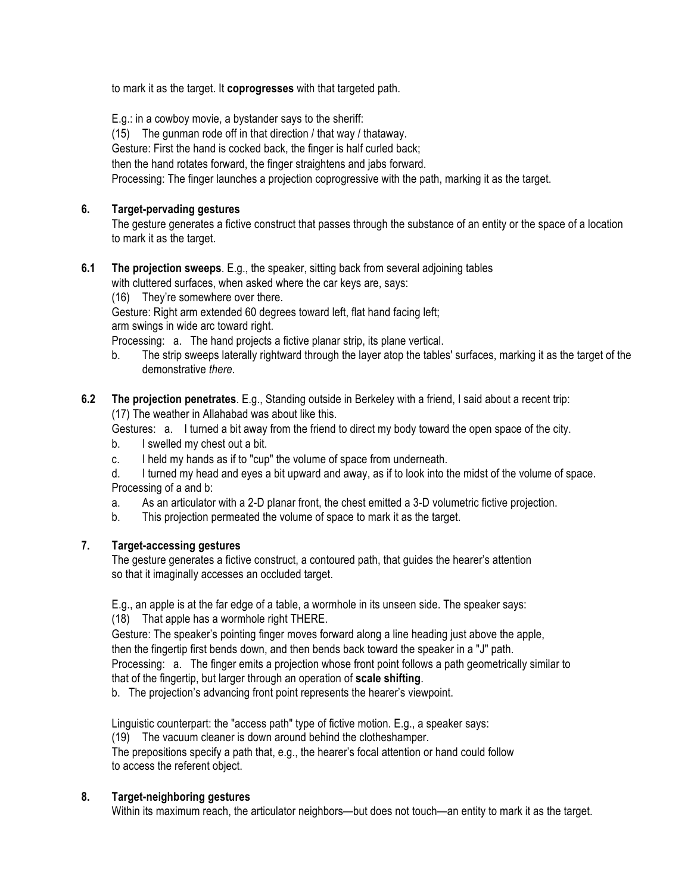to mark it as the target. It **coprogresses** with that targeted path.

E.g.: in a cowboy movie, a bystander says to the sheriff:

(15) The gunman rode off in that direction / that way / thataway.

Gesture: First the hand is cocked back, the finger is half curled back;

then the hand rotates forward, the finger straightens and jabs forward.

Processing: The finger launches a projection coprogressive with the path, marking it as the target.

# **6. Target-pervading gestures**

The gesture generates a fictive construct that passes through the substance of an entity or the space of a location to mark it as the target.

# **6.1 The projection sweeps**. E.g., the speaker, sitting back from several adjoining tables

with cluttered surfaces, when asked where the car keys are, says:

(16) They're somewhere over there.

Gesture: Right arm extended 60 degrees toward left, flat hand facing left;

arm swings in wide arc toward right.

Processing: a. The hand projects a fictive planar strip, its plane vertical.

b. The strip sweeps laterally rightward through the layer atop the tables' surfaces, marking it as the target of the demonstrative *there*.

# **6.2 The projection penetrates**. E.g., Standing outside in Berkeley with a friend, I said about a recent trip: (17) The weather in Allahabad was about like this.

Gestures: a. I turned a bit away from the friend to direct my body toward the open space of the city.

- b. I swelled my chest out a bit.
- c. I held my hands as if to "cup" the volume of space from underneath.
- d. I turned my head and eyes a bit upward and away, as if to look into the midst of the volume of space. Processing of a and b:
- a. As an articulator with a 2-D planar front, the chest emitted a 3-D volumetric fictive projection.
- b. This projection permeated the volume of space to mark it as the target.

# **7. Target-accessing gestures**

The gesture generates a fictive construct, a contoured path, that guides the hearer's attention so that it imaginally accesses an occluded target.

E.g., an apple is at the far edge of a table, a wormhole in its unseen side. The speaker says:

(18) That apple has a wormhole right THERE.

Gesture: The speaker's pointing finger moves forward along a line heading just above the apple, then the fingertip first bends down, and then bends back toward the speaker in a "J" path.

Processing: a. The finger emits a projection whose front point follows a path geometrically similar to that of the fingertip, but larger through an operation of **scale shifting**.

b. The projection's advancing front point represents the hearer's viewpoint.

Linguistic counterpart: the "access path" type of fictive motion. E.g., a speaker says:

(19) The vacuum cleaner is down around behind the clotheshamper.

The prepositions specify a path that, e.g., the hearer's focal attention or hand could follow to access the referent object.

# **8. Target-neighboring gestures**

Within its maximum reach, the articulator neighbors—but does not touch—an entity to mark it as the target.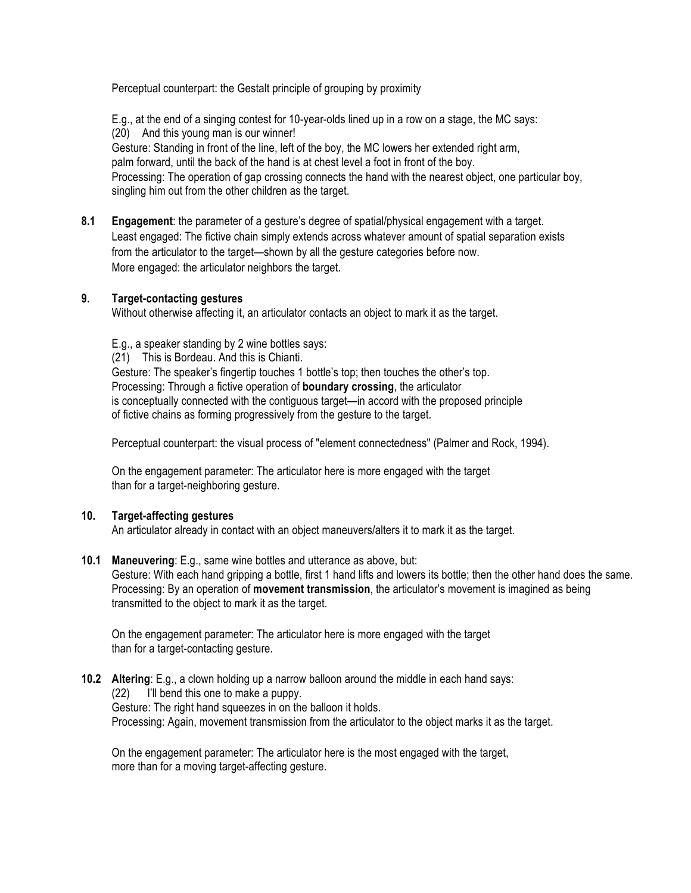Perceptual counterpart: the Gestalt principle of grouping by proximity

E.g., at the end of a singing contest for 10-year-olds lined up in a row on a stage, the MC says: (20) And this young man is our winner! Gesture: Standing in front of the line, left of the boy, the MC lowers her extended right arm, palm forward, until the back of the hand is at chest level a foot in front of the boy. Processing: The operation of gap crossing connects the hand with the nearest object, one particular boy, singling him out from the other children as the target.

**8.1 Engagement**: the parameter of a gesture's degree of spatial/physical engagement with a target. Least engaged: The fictive chain simply extends across whatever amount of spatial separation exists from the articulator to the target—shown by all the gesture categories before now. More engaged: the articulator neighbors the target.

### **9. Target-contacting gestures**

Without otherwise affecting it, an articulator contacts an object to mark it as the target.

E.g., a speaker standing by 2 wine bottles says:

(21) This is Bordeau. And this is Chianti.

Gesture: The speaker's fingertip touches 1 bottle's top; then touches the other's top. Processing: Through a fictive operation of **boundary crossing**, the articulator is conceptually connected with the contiguous target—in accord with the proposed principle of fictive chains as forming progressively from the gesture to the target.

Perceptual counterpart: the visual process of "element connectedness" (Palmer and Rock, 1994).

On the engagement parameter: The articulator here is more engaged with the target than for a target-neighboring gesture.

### **10. Target-affecting gestures**

An articulator already in contact with an object maneuvers/alters it to mark it as the target.

### **10.1 Maneuvering**: E.g., same wine bottles and utterance as above, but:

Gesture: With each hand gripping a bottle, first 1 hand lifts and lowers its bottle; then the other hand does the same. Processing: By an operation of **movement transmission**, the articulator's movement is imagined as being transmitted to the object to mark it as the target.

On the engagement parameter: The articulator here is more engaged with the target than for a target-contacting gesture.

#### **10.2 Altering**: E.g., a clown holding up a narrow balloon around the middle in each hand says: (22) I'll bend this one to make a puppy. Gesture: The right hand squeezes in on the balloon it holds. Processing: Again, movement transmission from the articulator to the object marks it as the target.

On the engagement parameter: The articulator here is the most engaged with the target, more than for a moving target-affecting gesture.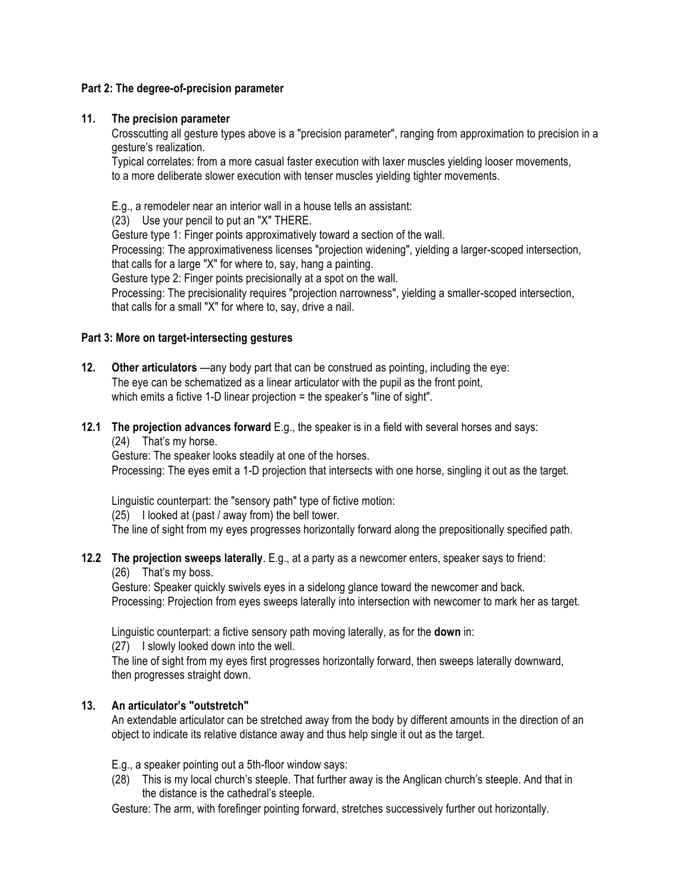### **Part 2: The degree-of-precision parameter**

### **11. The precision parameter**

Crosscutting all gesture types above is a "precision parameter", ranging from approximation to precision in a gesture's realization.

Typical correlates: from a more casual faster execution with laxer muscles yielding looser movements, to a more deliberate slower execution with tenser muscles yielding tighter movements.

E.g., a remodeler near an interior wall in a house tells an assistant:

(23) Use your pencil to put an "X" THERE.

Gesture type 1: Finger points approximatively toward a section of the wall.

Processing: The approximativeness licenses "projection widening", yielding a larger-scoped intersection, that calls for a large "X" for where to, say, hang a painting.

Gesture type 2: Finger points precisionally at a spot on the wall.

Processing: The precisionality requires "projection narrowness", yielding a smaller-scoped intersection, that calls for a small "X" for where to, say, drive a nail.

### **Part 3: More on target-intersecting gestures**

- **12.** Other articulators —any body part that can be construed as pointing, including the eye: The eye can be schematized as a linear articulator with the pupil as the front point, which emits a fictive 1-D linear projection = the speaker's "line of sight".
- **12.1 The projection advances forward** E.g., the speaker is in a field with several horses and says: (24) That's my horse.

Gesture: The speaker looks steadily at one of the horses.

Processing: The eyes emit a 1-D projection that intersects with one horse, singling it out as the target.

Linguistic counterpart: the "sensory path" type of fictive motion:

(25) I looked at (past / away from) the bell tower.

The line of sight from my eyes progresses horizontally forward along the prepositionally specified path.

### **12.2 The projection sweeps laterally**. E.g., at a party as a newcomer enters, speaker says to friend:

(26) That's my boss.

Gesture: Speaker quickly swivels eyes in a sidelong glance toward the newcomer and back. Processing: Projection from eyes sweeps laterally into intersection with newcomer to mark her as target.

Linguistic counterpart: a fictive sensory path moving laterally, as for the **down** in:

(27) I slowly looked down into the well.

The line of sight from my eyes first progresses horizontally forward, then sweeps laterally downward, then progresses straight down.

# **13. An articulator's "outstretch"**

An extendable articulator can be stretched away from the body by different amounts in the direction of an object to indicate its relative distance away and thus help single it out as the target.

E.g., a speaker pointing out a 5th-floor window says:

(28) This is my local church's steeple. That further away is the Anglican church's steeple. And that in the distance is the cathedral's steeple.

Gesture: The arm, with forefinger pointing forward, stretches successively further out horizontally.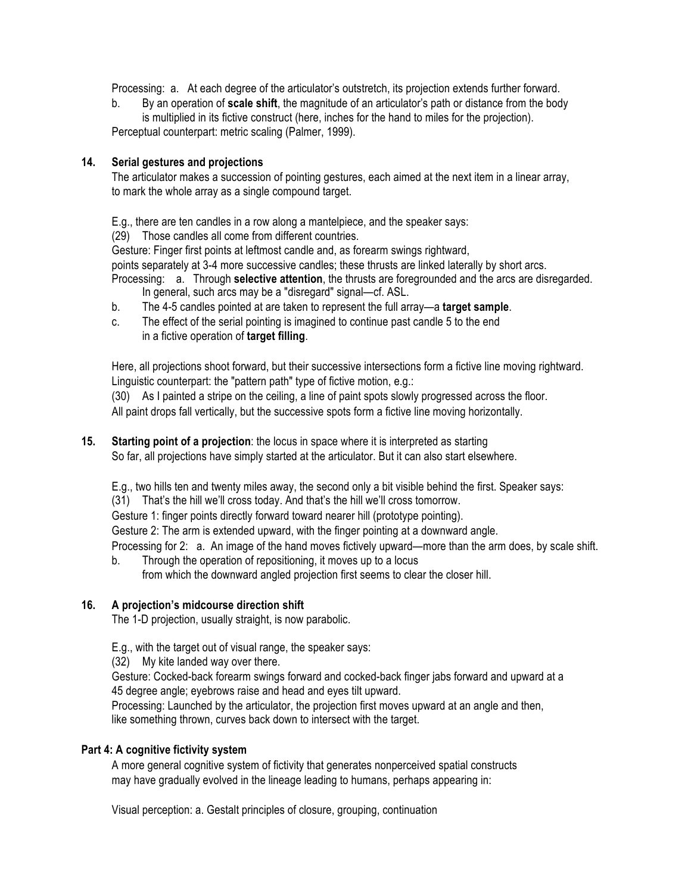Processing: a. At each degree of the articulator's outstretch, its projection extends further forward.

b. By an operation of **scale shift**, the magnitude of an articulator's path or distance from the body is multiplied in its fictive construct (here, inches for the hand to miles for the projection). Perceptual counterpart: metric scaling (Palmer, 1999).

### **14. Serial gestures and projections**

The articulator makes a succession of pointing gestures, each aimed at the next item in a linear array, to mark the whole array as a single compound target.

E.g., there are ten candles in a row along a mantelpiece, and the speaker says:

(29) Those candles all come from different countries.

Gesture: Finger first points at leftmost candle and, as forearm swings rightward,

points separately at 3-4 more successive candles; these thrusts are linked laterally by short arcs.

Processing: a. Through **selective attention**, the thrusts are foregrounded and the arcs are disregarded.

- In general, such arcs may be a "disregard" signal—cf. ASL.
- b. The 4-5 candles pointed at are taken to represent the full array—a **target sample**.
- c. The effect of the serial pointing is imagined to continue past candle 5 to the end in a fictive operation of **target filling**.

Here, all projections shoot forward, but their successive intersections form a fictive line moving rightward. Linguistic counterpart: the "pattern path" type of fictive motion, e.g.:

(30) As I painted a stripe on the ceiling, a line of paint spots slowly progressed across the floor. All paint drops fall vertically, but the successive spots form a fictive line moving horizontally.

**15. Starting point of a projection**: the locus in space where it is interpreted as starting So far, all projections have simply started at the articulator. But it can also start elsewhere.

E.g., two hills ten and twenty miles away, the second only a bit visible behind the first. Speaker says:

(31) That's the hill we'll cross today. And that's the hill we'll cross tomorrow.

Gesture 1: finger points directly forward toward nearer hill (prototype pointing).

Gesture 2: The arm is extended upward, with the finger pointing at a downward angle.

Processing for 2: a. An image of the hand moves fictively upward—more than the arm does, by scale shift.

b. Through the operation of repositioning, it moves up to a locus from which the downward angled projection first seems to clear the closer hill.

# **16. A projection's midcourse direction shift**

The 1-D projection, usually straight, is now parabolic.

E.g., with the target out of visual range, the speaker says:

(32) My kite landed way over there.

Gesture: Cocked-back forearm swings forward and cocked-back finger jabs forward and upward at a 45 degree angle; eyebrows raise and head and eyes tilt upward.

Processing: Launched by the articulator, the projection first moves upward at an angle and then, like something thrown, curves back down to intersect with the target.

# **Part 4: A cognitive fictivity system**

A more general cognitive system of fictivity that generates nonperceived spatial constructs may have gradually evolved in the lineage leading to humans, perhaps appearing in:

Visual perception: a. Gestalt principles of closure, grouping, continuation